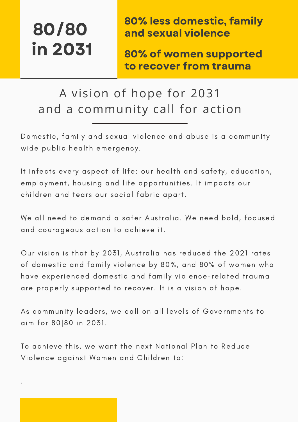.

80% less domestic, family and sexual violence

80% of women supported to recover from trauma

### A vision of hope for 2031 and a community call for action

Domestic, family and sexual violence and abuse is a communitywide public health emergency.

It infects every aspect of life: our health and safety, education, employment, housing and life opportunities. It impacts our children and tears our social fabric apart.

We all need to demand a safer Australia. We need bold, focused and courageous action to achieve it.

Our vision is that by 2031, Australia has reduced the 2021 rates of domestic and family violence by 80%, and 80% of women who have experienced domestic and family violence-related trauma are properly supported to recover. It is a vision of hope.

As community leaders, we call on all levels of Governments to aim for 80|80 in 2031.

To achieve this, we want the next National Plan to Reduce Violence against Women and Children to: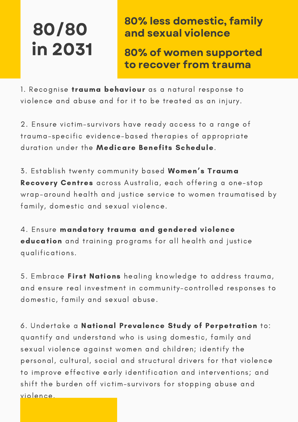80% less domestic, family and sexual violence

80% of women supported to recover from trauma

1. Recognise *trauma behaviour* as a natural response to violence and abuse and for it to be treated as an injury.

2. Ensure victim-survivors have ready access to a range of trauma-specific evidence-based therapies of appropriate duration under the Medicare Benefits Schedule.

3. Establish twenty community based Women's Trauma Recovery Centres across Australia, each offering a one-stop wrap-around health and justice service to women traumatised by family, domestic and sexual violence.

4. Ensure mandatory trauma and gendered violence education and training programs for all health and justice qualifications.

5. Embrace First Nations healing knowledge to address trauma, and ensure real investment in community-controlled responses to domestic, family and sexual abuse.

6. Undertake a National Prevalence Study of Perpetration to: quantify and understand who is using domestic, family and sexual violence against women and children; identify the personal, cultural, social and structural drivers for that violence to improve effective early identification and interventions; and shift the burden off victim-survivors for stopping abuse and violence.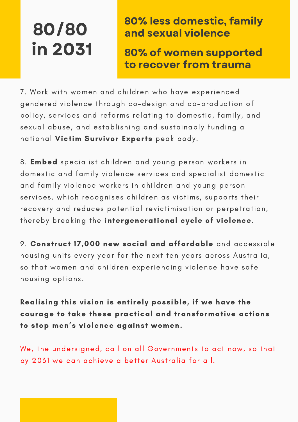#### 80% less domestic, family and sexual violence

80% of women supported to recover from trauma

7. Work with women and children who have experienced gendered violence through co-design and co-production of policy, services and reforms relating to domestic, family, and sexual abuse, and establishing and sustainably funding a national Victim Survivor Experts peak body.

8. Embed specialist children and young person workers in domestic and family violence services and specialist domestic and family violence workers in children and young person services, which recognises children as victims, supports their recovery and reduces potential revictimisation or perpetration, thereby breaking the intergenerational cycle of violence.

9. Construct 17,000 new social and affordable and accessible housing units every year for the next ten years across Australia, so that women and children experiencing violence have safe housing options.

Realising this vision is entirely possible, if we have the courage to take these practical and transformative actions to stop men's violence against women.

We, the undersigned, call on all Governments to act now, so that by 2031 we can achieve a better Australia for all.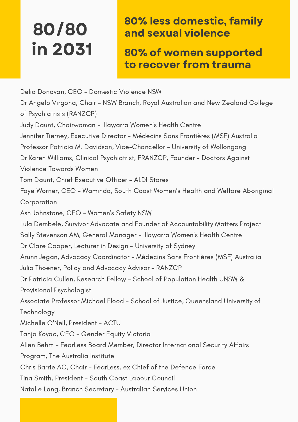### 80% less domestic, family and sexual violence

80% of women supported to recover from trauma

Delia Donovan, CEO - Domestic Violence NSW Dr Angelo Virgona, Chair - NSW Branch, Royal Australian and New Zealand College of Psychiatrists (RANZCP) Judy Daunt, Chairwoman - Illawarra Women's Health Centre Jennifer Tierney, Executive Director - Médecins Sans Frontières (MSF) Australia Professor Patricia M. Davidson, Vice-Chancellor - University of Wollongong Dr Karen Williams, Clinical Psychiatrist, FRANZCP, Founder - Doctors Against Violence Towards Women Tom Daunt, Chief Executive Officer - ALDI Stores Faye Worner, CEO - Waminda, South Coast Women's Health and Welfare Aboriginal Corporation Ash Johnstone, CEO - Women's Safety NSW Lula Dembele, Survivor Advocate and Founder of Accountability Matters Project Sally Stevenson AM, General Manager - Illawarra Women's Health Centre Dr Clare Cooper, Lecturer in Design - University of Sydney Arunn Jegan, Advocacy Coordinator - Médecins Sans Frontières (MSF) Australia Julia Thoener, Policy and Advocacy Advisor - RANZCP Dr Patricia Cullen, Research Fellow - School of Population Health UNSW & Provisional Psychologist Associate Professor Michael Flood - School of Justice, Queensland University of Technology Michelle O'Neil, President - ACTU Tanja Kovac, CEO - Gender Equity Victoria Allen Behm - FearLess Board Member, Director International Security Affairs Program, The Australia Institute Chris Barrie AC, Chair - FearLess, ex Chief of the Defence Force Tina Smith, President - South Coast Labour Council Natalie Lang, Branch Secretary - Australian Services Union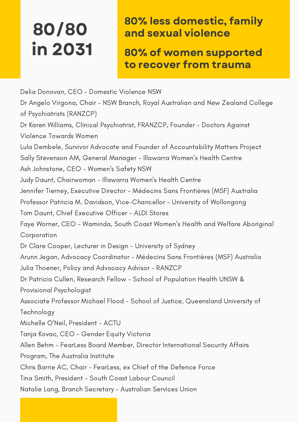### 80% less domestic, family and sexual violence

80% of women supported to recover from trauma

Delia Donovan, CEO - Domestic Violence NSW Dr Angelo Virgona, Chair - NSW Branch, Royal Australian and New Zealand College of Psychiatrists (RANZCP) Dr Karen Williams, Clinical Psychiatrist, FRANZCP, Founder - Doctors Against Violence Towards Women Lula Dembele, Survivor Advocate and Founder of Accountability Matters Project Sally Stevenson AM, General Manager - Illawarra Women's Health Centre Ash Johnstone, CEO - Women's Safety NSW Judy Daunt, Chairwoman - Illawarra Women's Health Centre Jennifer Tierney, Executive Director - Médecins Sans Frontières (MSF) Australia Professor Patricia M. Davidson, Vice-Chancellor - University of Wollongong Tom Daunt, Chief Executive Officer - ALDI Stores Faye Worner, CEO - Waminda, South Coast Women's Health and Welfare Aboriginal Corporation Dr Clare Cooper, Lecturer in Design - University of Sydney Arunn Jegan, Advocacy Coordinator - Médecins Sans Frontières (MSF) Australia Julia Thoener, Policy and Advocacy Advisor - RANZCP Dr Patricia Cullen, Research Fellow - School of Population Health UNSW & Provisional Psychologist Associate Professor Michael Flood - School of Justice, Queensland University of Technology Michelle O'Neil, President - ACTU Tanja Kovac, CEO - Gender Equity Victoria Allen Behm - FearLess Board Member, Director International Security Affairs Program, The Australia Institute Chris Barrie AC, Chair - FearLess, ex Chief of the Defence Force Tina Smith, President - South Coast Labour Council Natalie Lang, Branch Secretary - Australian Services Union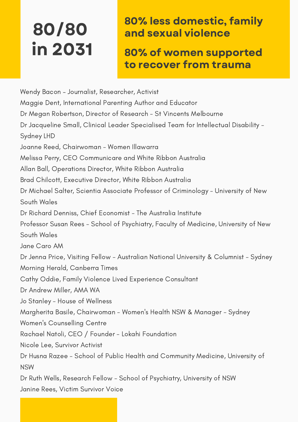### 80% less domestic, family and sexual violence

80% of women supported to recover from trauma

Wendy Bacon – Journalist, Researcher, Activist Maggie Dent, International Parenting Author and Educator Dr Megan Robertson, Director of Research - St Vincents Melbourne Dr Jacqueline Small, Clinical Leader Specialised Team for Intellectual Disability - Sydney LHD Joanne Reed, Chairwoman - Women Illawarra Melissa Perry, CEO Communicare and White Ribbon Australia Allan Ball, Operations Director, White Ribbon Australia Brad Chilcott, Executive Director, White Ribbon Australia Dr Michael Salter, Scientia Associate Professor of Criminology - University of New South Wales Dr Richard Denniss, Chief Economist - The Australia Institute Professor Susan Rees - School of Psychiatry, Faculty of Medicine, University of New South Wales Jane Caro AM Dr Jenna Price, Visiting Fellow - Australian National University & Columnist - Sydney Morning Herald, Canberra Times Cathy Oddie, Family Violence Lived Experience Consultant Dr Andrew Miller, AMA WA Jo Stanley - House of Wellness Margherita Basile, Chairwoman - Women's Health NSW & Manager - Sydney Women's Counselling Centre Rachael Natoli, CEO / Founder - Lokahi Foundation Nicole Lee, Survivor Activist Dr Husna Razee - School of Public Health and Community Medicine, University of NSW Dr Ruth Wells, Research Fellow - School of Psychiatry, University of NSW

Janine Rees, Victim Survivor Voice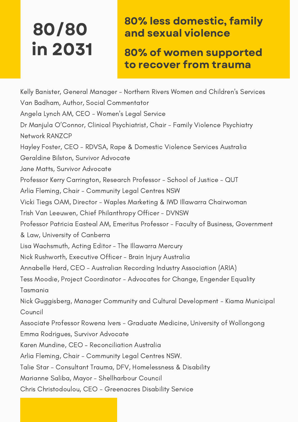### 80% less domestic, family and sexual violence

80% of women supported to recover from trauma

Kelly Banister, General Manager - Northern Rivers Women and Children's Services Van Badham, Author, Social Commentator Angela Lynch AM, CEO - Women's Legal Service Dr Manjula O'Connor, Clinical Psychiatrist, Chair - Family Violence Psychiatry Network RANZCP Hayley Foster, CEO - RDVSA, Rape & Domestic Violence Services Australia Geraldine Bilston, Survivor Advocate Jane Matts, Survivor Advocate Professor Kerry Carrington, Research Professor - School of Justice - QUT Arlia Fleming, Chair - Community Legal Centres NSW Vicki Tiegs OAM, Director - Waples Marketing & IWD Illawarra Chairwoman Trish Van Leeuwen, Chief Philanthropy Officer - DVNSW Professor Patricia Easteal AM, Emeritus Professor - Faculty of Business, Government & Law, University of Canberra Lisa Wachsmuth, Acting Editor - The Illawarra Mercury Nick Rushworth, Executive Officer - Brain Injury Australia Annabelle Herd, CEO - Australian Recording Industry Association (ARIA) Tess Moodie, Project Coordinator - Advocates for Change, Engender Equality Tasmania Nick Guggisberg, Manager Community and Cultural Development - Kiama Municipal Council Associate Professor Rowena Ivers - Graduate Medicine, University of Wollongong Emma Rodrigues, Survivor Advocate Karen Mundine, CEO – Reconciliation Australia Arlia Fleming, Chair - Community Legal Centres NSW. Talie Star - Consultant Trauma, DFV, Homelessness & Disability Marianne Saliba, Mayor - Shellharbour Council Chris Christodoulou, CEO - Greenacres Disability Service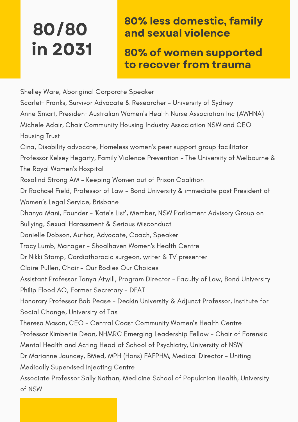### 80% less domestic, family and sexual violence

80% of women supported to recover from trauma

Shelley Ware, Aboriginal Corporate Speaker Scarlett Franks, Survivor Advocate & Researcher - University of Sydney Anne Smart, President Australian Women's Health Nurse Association Inc (AWHNA) Michele Adair, Chair Community Housing Industry Association NSW and CEO Housing Trust Cina, Disability advocate, Homeless women's peer support group facilitator Professor Kelsey Hegarty, Family Violence Prevention - The University of Melbourne & The Royal Women's Hospital Rosalind Strong AM - Keeping Women out of Prison Coalition Dr Rachael Field, Professor of Law - Bond University & immediate past President of Women's Legal Service, Brisbane Dhanya Mani, Founder - 'Kate's List', Member, NSW Parliament Advisory Group on Bullying, Sexual Harassment & Serious Misconduct Danielle Dobson, Author, Advocate, Coach, Speaker Tracy Lumb, Manager - Shoalhaven Women's Health Centre Dr Nikki Stamp, Cardiothoracic surgeon, writer & TV presenter Claire Pullen, Chair - Our Bodies Our Choices Assistant Professor Tanya Atwill, Program Director - Faculty of Law, Bond University Philip Flood AO, Former Secretary - DFAT Honorary Professor Bob Pease - Deakin University & Adjunct Professor, Institute for Social Change, University of Tas Theresa Mason, CEO - Central Coast Community Women's Health Centre Professor Kimberlie Dean, NHMRC Emerging Leadership Fellow - Chair of Forensic Mental Health and Acting Head of School of Psychiatry, University of NSW Dr Marianne Jauncey, BMed, MPH (Hons) FAFPHM, Medical Director - Uniting Medically Supervised Injecting Centre Associate Professor Sally Nathan, Medicine School of Population Health, University of NSW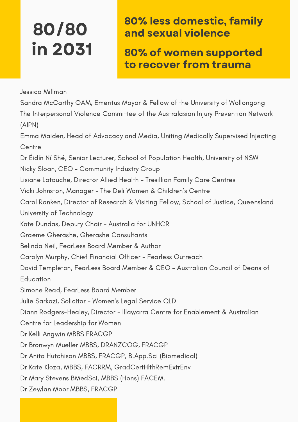### 80% less domestic, family and sexual violence

80% of women supported to recover from trauma

Jessica Millman

Sandra McCarthy OAM, Emeritus Mayor & Fellow of the University of Wollongong The Interpersonal Violence Committee of the Australasian Injury Prevention Network (AIPN) Emma Maiden, Head of Advocacy and Media, Uniting Medically Supervised Injecting **Centre** Dr Éidín Ní Shé, Senior Lecturer, School of Population Health, University of NSW Nicky Sloan, CEO - Community Industry Group Lisiane Latouche, Director Allied Health - Tresillian Family Care Centres Vicki Johnston, Manager - The Deli Women & Children's Centre Carol Ronken, Director of Research & Visiting Fellow, School of Justice, Queensland University of Technology Kate Dundas, Deputy Chair - Australia for UNHCR Graeme Gherashe, Gherashe Consultants Belinda Neil, FearLess Board Member & Author Carolyn Murphy, Chief Financial Officer - Fearless Outreach David Templeton, FearLess Board Member & CEO - Australian Council of Deans of **Education** Simone Read, FearLess Board Member Julie Sarkozi, Solicitor - Women's Legal Service QLD Diann Rodgers-Healey, Director - Illawarra Centre for Enablement & Australian Centre for Leadership for Women Dr Kelli Angwin MBBS FRACGP Dr Bronwyn Mueller MBBS, DRANZCOG, FRACGP Dr Anita Hutchison MBBS, FRACGP, B.App.Sci (Biomedical) Dr Kate Kloza, MBBS, FACRRM, GradCertHlthRemExtrEnv Dr Mary Stevens BMedSci, MBBS (Hons) FACEM. Dr Zewlan Moor MBBS, FRACGP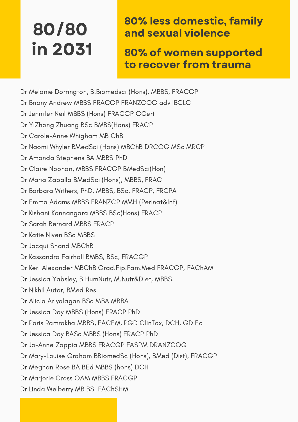#### 80% less domestic, family and sexual violence

80% of women supported to recover from trauma

Dr Melanie Dorrington, B.Biomedsci (Hons), MBBS, FRACGP

- Dr Briony Andrew MBBS FRACGP FRANZCOG adv IBCLC
- Dr Jennifer Neil MBBS (Hons) FRACGP GCert
- Dr YiZhong Zhuang BSc BMBS(Hons) FRACP
- Dr Carole-Anne Whigham MB ChB
- Dr Naomi Whyler BMedSci (Hons) MBChB DRCOG MSc MRCP
- Dr Amanda Stephens BA MBBS PhD
- Dr Claire Noonan, MBBS FRACGP BMedSci(Hon)
- Dr Maria Zaballa BMedSci (Hons), MBBS, FRAC
- Dr Barbara Withers, PhD, MBBS, BSc, FRACP, FRCPA
- Dr Emma Adams MBBS FRANZCP MMH (Perinat&Inf)
- Dr Kishani Kannangara MBBS BSc(Hons) FRACP
- Dr Sarah Bernard MBBS FRACP
- Dr Katie Niven BSc MBBS
- Dr Jacqui Shand MBChB
- Dr Kassandra Fairhall BMBS, BSc, FRACGP
- Dr Keri Alexander MBChB Grad.Fip.Fam.Med FRACGP; FAChAM
- Dr Jessica Yabsley, B.HumNutr, M.Nutr&Diet, MBBS.
- Dr Nikhil Autar, BMed Res
- Dr Alicia Arivalagan BSc MBA MBBA
- Dr Jessica Day MBBS (Hons) FRACP PhD
- Dr Paris Ramrakha MBBS, FACEM, PGD ClinTox, DCH, GD Ec
- Dr Jessica Day BASc MBBS (Hons) FRACP PhD
- Dr Jo-Anne Zappia MBBS FRACGP FASPM DRANZCOG
- Dr Mary-Louise Graham BBiomedSc (Hons), BMed (Dist), FRACGP
- Dr Meghan Rose BA BEd MBBS (hons) DCH
- Dr Marjorie Cross OAM MBBS FRACGP
- Dr Linda Welberry MB.BS. FAChSHM